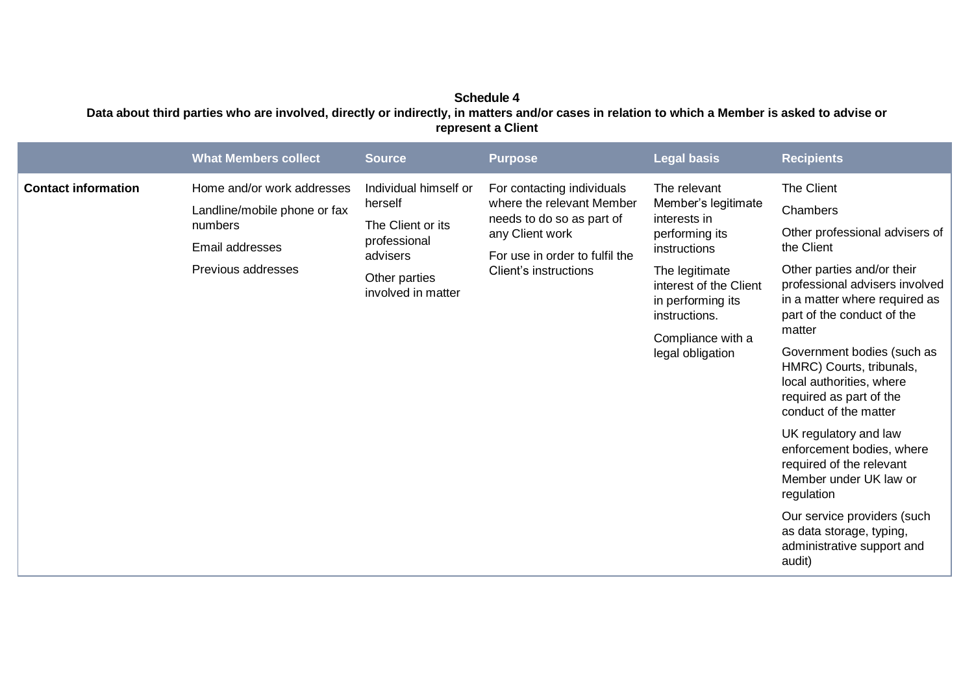## **Schedule 4 Data about third parties who are involved, directly or indirectly, in matters and/or cases in relation to which a Member is asked to advise or represent a Client**

|                            | <b>What Members collect</b>                                                                                    | <b>Source</b>                                                                                                            | <b>Purpose</b>                                                                                                                                                     | <b>Legal basis</b>                                                                                                                                                                                               | <b>Recipients</b>                                                                                                                                                                                                                                                                                                                                                                                                                                                                                                                                                                      |
|----------------------------|----------------------------------------------------------------------------------------------------------------|--------------------------------------------------------------------------------------------------------------------------|--------------------------------------------------------------------------------------------------------------------------------------------------------------------|------------------------------------------------------------------------------------------------------------------------------------------------------------------------------------------------------------------|----------------------------------------------------------------------------------------------------------------------------------------------------------------------------------------------------------------------------------------------------------------------------------------------------------------------------------------------------------------------------------------------------------------------------------------------------------------------------------------------------------------------------------------------------------------------------------------|
| <b>Contact information</b> | Home and/or work addresses<br>Landline/mobile phone or fax<br>numbers<br>Email addresses<br>Previous addresses | Individual himself or<br>herself<br>The Client or its<br>professional<br>advisers<br>Other parties<br>involved in matter | For contacting individuals<br>where the relevant Member<br>needs to do so as part of<br>any Client work<br>For use in order to fulfil the<br>Client's instructions | The relevant<br>Member's legitimate<br>interests in<br>performing its<br>instructions<br>The legitimate<br>interest of the Client<br>in performing its<br>instructions.<br>Compliance with a<br>legal obligation | The Client<br>Chambers<br>Other professional advisers of<br>the Client<br>Other parties and/or their<br>professional advisers involved<br>in a matter where required as<br>part of the conduct of the<br>matter<br>Government bodies (such as<br>HMRC) Courts, tribunals,<br>local authorities, where<br>required as part of the<br>conduct of the matter<br>UK regulatory and law<br>enforcement bodies, where<br>required of the relevant<br>Member under UK law or<br>regulation<br>Our service providers (such<br>as data storage, typing,<br>administrative support and<br>audit) |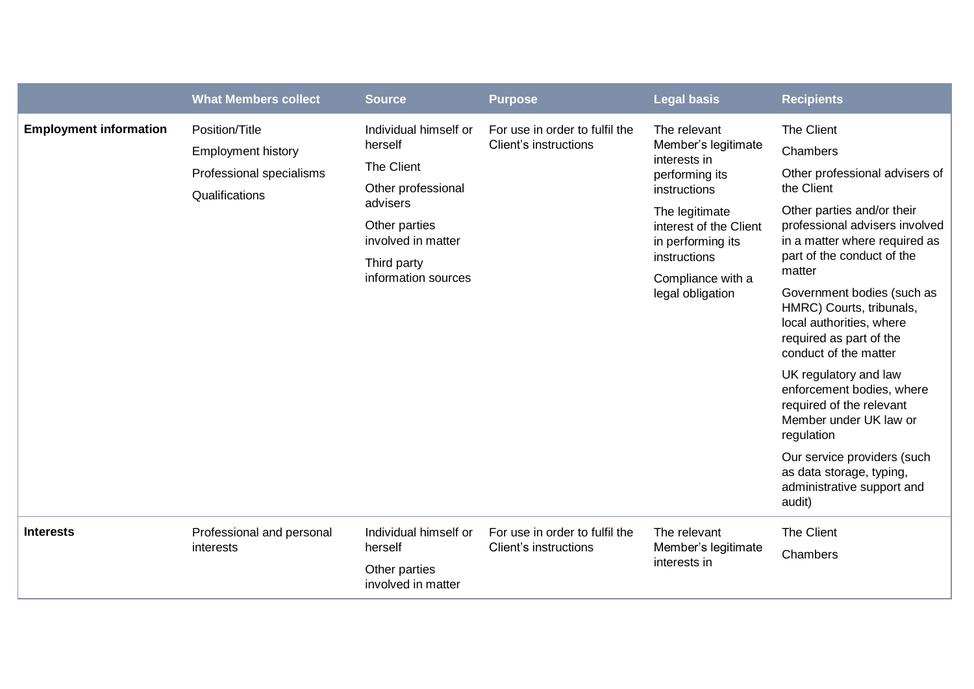|                                                                                                | <b>What Members collect</b> | <b>Source</b>                                                                                                                                                 | <b>Purpose</b>                                          | <b>Legal basis</b>                                                                                                                                                                                              | <b>Recipients</b>                                                                                                                                                                                                                                                         |
|------------------------------------------------------------------------------------------------|-----------------------------|---------------------------------------------------------------------------------------------------------------------------------------------------------------|---------------------------------------------------------|-----------------------------------------------------------------------------------------------------------------------------------------------------------------------------------------------------------------|---------------------------------------------------------------------------------------------------------------------------------------------------------------------------------------------------------------------------------------------------------------------------|
| <b>Employment information</b><br>Position/Title<br><b>Employment history</b><br>Qualifications | Professional specialisms    | Individual himself or<br>herself<br>The Client<br>Other professional<br>advisers<br>Other parties<br>involved in matter<br>Third party<br>information sources | For use in order to fulfil the<br>Client's instructions | The relevant<br>Member's legitimate<br>interests in<br>performing its<br>instructions<br>The legitimate<br>interest of the Client<br>in performing its<br>instructions<br>Compliance with a<br>legal obligation | The Client<br>Chambers<br>Other professional advisers of<br>the Client<br>Other parties and/or their<br>professional advisers involved<br>in a matter where required as<br>part of the conduct of the<br>matter<br>Government bodies (such as<br>HMRC) Courts, tribunals, |
|                                                                                                |                             |                                                                                                                                                               |                                                         |                                                                                                                                                                                                                 | local authorities, where<br>required as part of the<br>conduct of the matter                                                                                                                                                                                              |
|                                                                                                |                             |                                                                                                                                                               |                                                         |                                                                                                                                                                                                                 | UK regulatory and law<br>enforcement bodies, where<br>required of the relevant<br>Member under UK law or<br>regulation                                                                                                                                                    |
|                                                                                                |                             |                                                                                                                                                               |                                                         |                                                                                                                                                                                                                 | Our service providers (such<br>as data storage, typing,<br>administrative support and<br>audit)                                                                                                                                                                           |
| <b>Interests</b><br>interests                                                                  | Professional and personal   | Individual himself or                                                                                                                                         | For use in order to fulfil the<br>Client's instructions | The relevant<br>Member's legitimate<br>interests in                                                                                                                                                             | The Client                                                                                                                                                                                                                                                                |
|                                                                                                |                             | herself<br>Other parties<br>involved in matter                                                                                                                |                                                         |                                                                                                                                                                                                                 | Chambers                                                                                                                                                                                                                                                                  |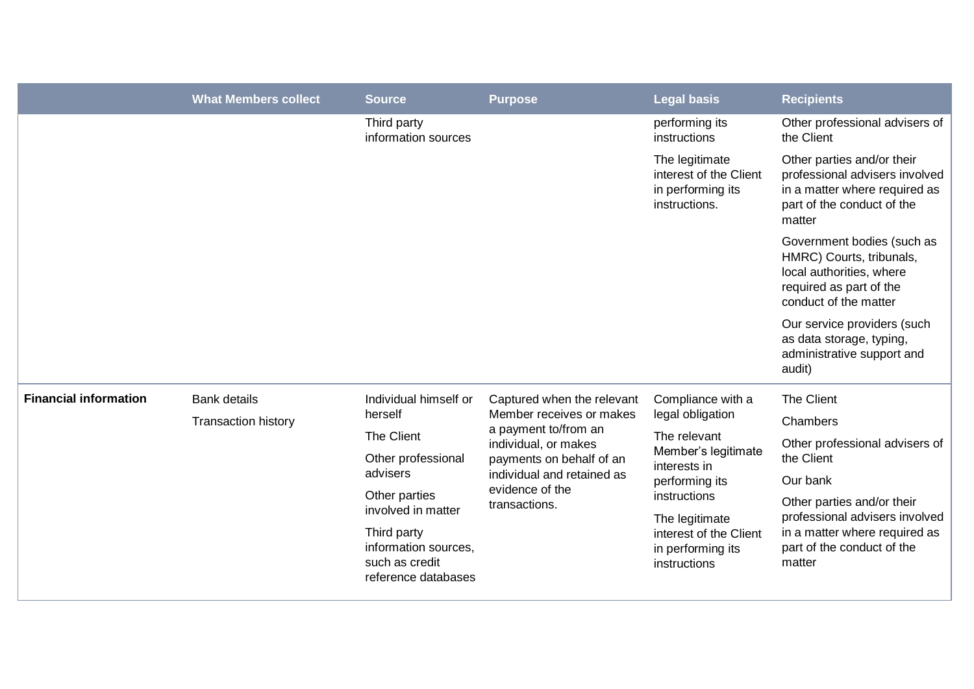|                              | <b>What Members collect</b>                       | <b>Source</b>                                                                | <b>Purpose</b>                                                                                                                                                                                       | <b>Legal basis</b>                                                                                                                                                                                              | <b>Recipients</b>                                                                                                                      |
|------------------------------|---------------------------------------------------|------------------------------------------------------------------------------|------------------------------------------------------------------------------------------------------------------------------------------------------------------------------------------------------|-----------------------------------------------------------------------------------------------------------------------------------------------------------------------------------------------------------------|----------------------------------------------------------------------------------------------------------------------------------------|
|                              |                                                   | Third party<br>information sources                                           |                                                                                                                                                                                                      | performing its<br>instructions                                                                                                                                                                                  | Other professional advisers of<br>the Client                                                                                           |
|                              |                                                   |                                                                              |                                                                                                                                                                                                      | The legitimate<br>interest of the Client<br>in performing its<br>instructions.                                                                                                                                  | Other parties and/or their<br>professional advisers involved<br>in a matter where required as<br>part of the conduct of the<br>matter  |
|                              |                                                   |                                                                              |                                                                                                                                                                                                      |                                                                                                                                                                                                                 | Government bodies (such as<br>HMRC) Courts, tribunals,<br>local authorities, where<br>required as part of the<br>conduct of the matter |
|                              |                                                   |                                                                              |                                                                                                                                                                                                      |                                                                                                                                                                                                                 | Our service providers (such<br>as data storage, typing,<br>administrative support and<br>audit)                                        |
| <b>Financial information</b> | <b>Bank details</b><br><b>Transaction history</b> | Individual himself or                                                        | Captured when the relevant<br>Member receives or makes<br>a payment to/from an<br>individual, or makes<br>payments on behalf of an<br>individual and retained as<br>evidence of the<br>transactions. | Compliance with a<br>legal obligation<br>The relevant<br>Member's legitimate<br>interests in<br>performing its<br>instructions<br>The legitimate<br>interest of the Client<br>in performing its<br>instructions | The Client                                                                                                                             |
|                              |                                                   | herself                                                                      |                                                                                                                                                                                                      |                                                                                                                                                                                                                 | Chambers                                                                                                                               |
|                              |                                                   | The Client                                                                   |                                                                                                                                                                                                      |                                                                                                                                                                                                                 | Other professional advisers of                                                                                                         |
|                              |                                                   | Other professional<br>advisers                                               |                                                                                                                                                                                                      |                                                                                                                                                                                                                 | the Client                                                                                                                             |
|                              |                                                   | Other parties                                                                |                                                                                                                                                                                                      |                                                                                                                                                                                                                 | Our bank<br>Other parties and/or their                                                                                                 |
|                              |                                                   | involved in matter                                                           |                                                                                                                                                                                                      |                                                                                                                                                                                                                 | professional advisers involved                                                                                                         |
|                              |                                                   | Third party<br>information sources,<br>such as credit<br>reference databases |                                                                                                                                                                                                      |                                                                                                                                                                                                                 | in a matter where required as<br>part of the conduct of the<br>matter                                                                  |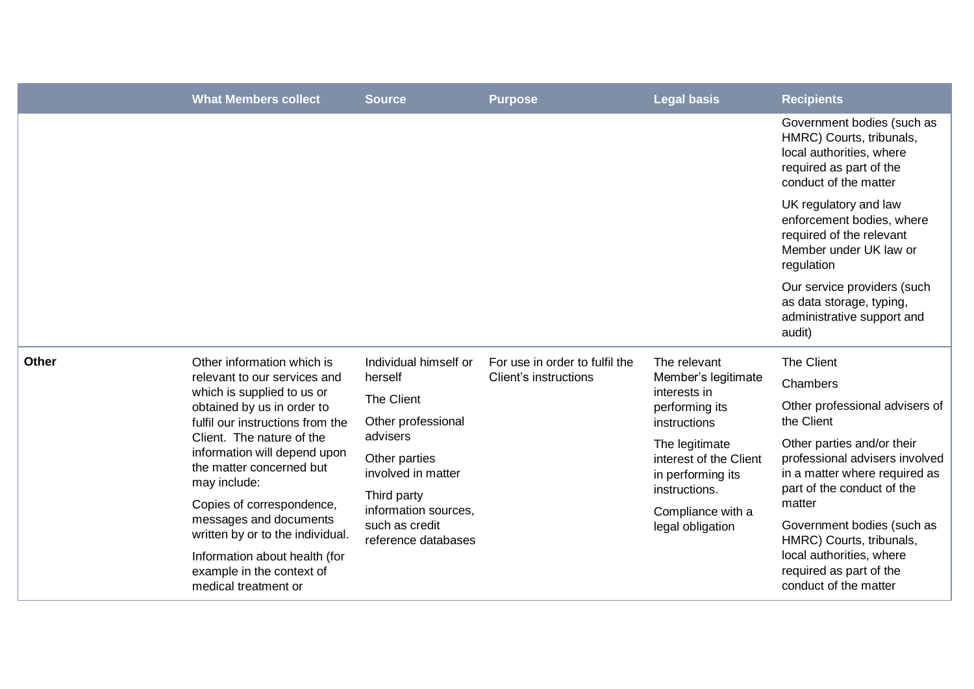|              | <b>What Members collect</b>                                                                                                                                                                                                                                                                                                                                    | <b>Source</b>                                                                | <b>Purpose</b>                                          | <b>Legal basis</b>                                                                    | <b>Recipients</b>                                                                                                                      |
|--------------|----------------------------------------------------------------------------------------------------------------------------------------------------------------------------------------------------------------------------------------------------------------------------------------------------------------------------------------------------------------|------------------------------------------------------------------------------|---------------------------------------------------------|---------------------------------------------------------------------------------------|----------------------------------------------------------------------------------------------------------------------------------------|
|              |                                                                                                                                                                                                                                                                                                                                                                |                                                                              |                                                         |                                                                                       | Government bodies (such as<br>HMRC) Courts, tribunals,<br>local authorities, where<br>required as part of the<br>conduct of the matter |
|              |                                                                                                                                                                                                                                                                                                                                                                |                                                                              |                                                         |                                                                                       | UK regulatory and law<br>enforcement bodies, where<br>required of the relevant<br>Member under UK law or<br>regulation                 |
|              |                                                                                                                                                                                                                                                                                                                                                                |                                                                              |                                                         |                                                                                       | Our service providers (such<br>as data storage, typing,<br>administrative support and<br>audit)                                        |
| <b>Other</b> | Other information which is<br>relevant to our services and<br>which is supplied to us or<br>obtained by us in order to<br>fulfil our instructions from the<br>Client. The nature of the<br>information will depend upon<br>the matter concerned but<br>may include:<br>Copies of correspondence,<br>messages and documents<br>written by or to the individual. | Individual himself or                                                        | For use in order to fulfil the<br>Client's instructions | The relevant<br>Member's legitimate<br>interests in<br>performing its<br>instructions | The Client                                                                                                                             |
|              |                                                                                                                                                                                                                                                                                                                                                                | herself                                                                      |                                                         |                                                                                       | Chambers                                                                                                                               |
|              |                                                                                                                                                                                                                                                                                                                                                                | <b>The Client</b><br>Other professional                                      |                                                         |                                                                                       | Other professional advisers of<br>the Client                                                                                           |
|              |                                                                                                                                                                                                                                                                                                                                                                | advisers                                                                     |                                                         | The legitimate<br>interest of the Client<br>in performing its<br>instructions.        | Other parties and/or their<br>professional advisers involved<br>in a matter where required as<br>part of the conduct of the<br>matter  |
|              |                                                                                                                                                                                                                                                                                                                                                                | Other parties<br>involved in matter                                          |                                                         |                                                                                       |                                                                                                                                        |
|              |                                                                                                                                                                                                                                                                                                                                                                | Third party<br>information sources,<br>such as credit<br>reference databases |                                                         | Compliance with a<br>legal obligation                                                 |                                                                                                                                        |
|              |                                                                                                                                                                                                                                                                                                                                                                |                                                                              |                                                         |                                                                                       | Government bodies (such as<br>HMRC) Courts, tribunals,<br>local authorities, where<br>required as part of the<br>conduct of the matter |
|              | Information about health (for<br>example in the context of<br>medical treatment or                                                                                                                                                                                                                                                                             |                                                                              |                                                         |                                                                                       |                                                                                                                                        |